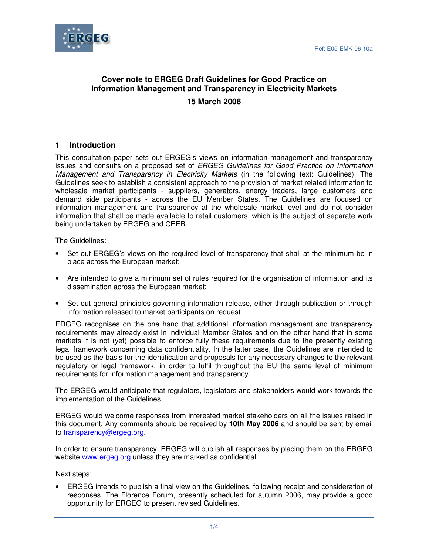

## **Cover note to ERGEG Draft Guidelines for Good Practice on Information Management and Transparency in Electricity Markets**

**15 March 2006** 

## **1 Introduction**

This consultation paper sets out ERGEG's views on information management and transparency issues and consults on a proposed set of ERGEG Guidelines for Good Practice on Information Management and Transparency in Electricity Markets (in the following text: Guidelines). The Guidelines seek to establish a consistent approach to the provision of market related information to wholesale market participants - suppliers, generators, energy traders, large customers and demand side participants - across the EU Member States. The Guidelines are focused on information management and transparency at the wholesale market level and do not consider information that shall be made available to retail customers, which is the subject of separate work being undertaken by ERGEG and CEER.

The Guidelines:

- Set out ERGEG's views on the required level of transparency that shall at the minimum be in place across the European market;
- Are intended to give a minimum set of rules required for the organisation of information and its dissemination across the European market;
- Set out general principles governing information release, either through publication or through information released to market participants on request.

ERGEG recognises on the one hand that additional information management and transparency requirements may already exist in individual Member States and on the other hand that in some markets it is not (yet) possible to enforce fully these requirements due to the presently existing legal framework concerning data confidentiality. In the latter case, the Guidelines are intended to be used as the basis for the identification and proposals for any necessary changes to the relevant regulatory or legal framework, in order to fulfil throughout the EU the same level of minimum requirements for information management and transparency.

The ERGEG would anticipate that regulators, legislators and stakeholders would work towards the implementation of the Guidelines.

ERGEG would welcome responses from interested market stakeholders on all the issues raised in this document. Any comments should be received by **10th May 2006** and should be sent by email to transparency@ergeg.org.

In order to ensure transparency, ERGEG will publish all responses by placing them on the ERGEG website www.ergeg.org unless they are marked as confidential.

Next steps:

• ERGEG intends to publish a final view on the Guidelines, following receipt and consideration of responses. The Florence Forum, presently scheduled for autumn 2006, may provide a good opportunity for ERGEG to present revised Guidelines.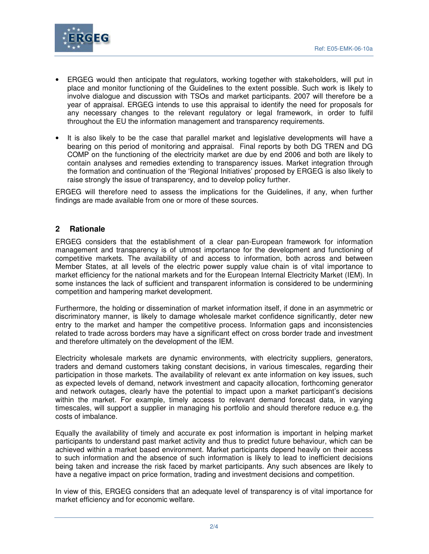

- ERGEG would then anticipate that regulators, working together with stakeholders, will put in place and monitor functioning of the Guidelines to the extent possible. Such work is likely to involve dialogue and discussion with TSOs and market participants. 2007 will therefore be a year of appraisal. ERGEG intends to use this appraisal to identify the need for proposals for any necessary changes to the relevant regulatory or legal framework, in order to fulfil throughout the EU the information management and transparency requirements.
- It is also likely to be the case that parallel market and legislative developments will have a bearing on this period of monitoring and appraisal. Final reports by both DG TREN and DG COMP on the functioning of the electricity market are due by end 2006 and both are likely to contain analyses and remedies extending to transparency issues. Market integration through the formation and continuation of the 'Regional Initiatives' proposed by ERGEG is also likely to raise strongly the issue of transparency, and to develop policy further.

ERGEG will therefore need to assess the implications for the Guidelines, if any, when further findings are made available from one or more of these sources.

## **2 Rationale**

ERGEG considers that the establishment of a clear pan-European framework for information management and transparency is of utmost importance for the development and functioning of competitive markets. The availability of and access to information, both across and between Member States, at all levels of the electric power supply value chain is of vital importance to market efficiency for the national markets and for the European Internal Electricity Market (IEM). In some instances the lack of sufficient and transparent information is considered to be undermining competition and hampering market development.

Furthermore, the holding or dissemination of market information itself, if done in an asymmetric or discriminatory manner, is likely to damage wholesale market confidence significantly, deter new entry to the market and hamper the competitive process. Information gaps and inconsistencies related to trade across borders may have a significant effect on cross border trade and investment and therefore ultimately on the development of the IEM.

Electricity wholesale markets are dynamic environments, with electricity suppliers, generators, traders and demand customers taking constant decisions, in various timescales, regarding their participation in those markets. The availability of relevant ex ante information on key issues, such as expected levels of demand, network investment and capacity allocation, forthcoming generator and network outages, clearly have the potential to impact upon a market participant's decisions within the market. For example, timely access to relevant demand forecast data, in varying timescales, will support a supplier in managing his portfolio and should therefore reduce e.g. the costs of imbalance.

Equally the availability of timely and accurate ex post information is important in helping market participants to understand past market activity and thus to predict future behaviour, which can be achieved within a market based environment. Market participants depend heavily on their access to such information and the absence of such information is likely to lead to inefficient decisions being taken and increase the risk faced by market participants. Any such absences are likely to have a negative impact on price formation, trading and investment decisions and competition.

In view of this, ERGEG considers that an adequate level of transparency is of vital importance for market efficiency and for economic welfare.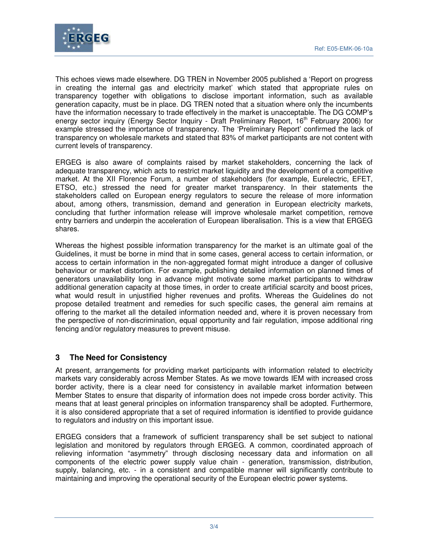

This echoes views made elsewhere. DG TREN in November 2005 published a 'Report on progress in creating the internal gas and electricity market' which stated that appropriate rules on transparency together with obligations to disclose important information, such as available generation capacity, must be in place. DG TREN noted that a situation where only the incumbents have the information necessary to trade effectively in the market is unacceptable. The DG COMP's energy sector inquiry (Energy Sector Inquiry - Draft Preliminary Report, 16<sup>th</sup> February 2006) for example stressed the importance of transparency. The 'Preliminary Report' confirmed the lack of transparency on wholesale markets and stated that 83% of market participants are not content with current levels of transparency.

ERGEG is also aware of complaints raised by market stakeholders, concerning the lack of adequate transparency, which acts to restrict market liquidity and the development of a competitive market. At the XII Florence Forum, a number of stakeholders (for example, Eurelectric, EFET, ETSO, etc.) stressed the need for greater market transparency. In their statements the stakeholders called on European energy regulators to secure the release of more information about, among others, transmission, demand and generation in European electricity markets, concluding that further information release will improve wholesale market competition, remove entry barriers and underpin the acceleration of European liberalisation. This is a view that ERGEG shares.

Whereas the highest possible information transparency for the market is an ultimate goal of the Guidelines, it must be borne in mind that in some cases, general access to certain information, or access to certain information in the non-aggregated format might introduce a danger of collusive behaviour or market distortion. For example, publishing detailed information on planned times of generators unavailability long in advance might motivate some market participants to withdraw additional generation capacity at those times, in order to create artificial scarcity and boost prices, what would result in unjustified higher revenues and profits. Whereas the Guidelines do not propose detailed treatment and remedies for such specific cases, the general aim remains at offering to the market all the detailed information needed and, where it is proven necessary from the perspective of non-discrimination, equal opportunity and fair regulation, impose additional ring fencing and/or regulatory measures to prevent misuse.

## **3 The Need for Consistency**

At present, arrangements for providing market participants with information related to electricity markets vary considerably across Member States. As we move towards IEM with increased cross border activity, there is a clear need for consistency in available market information between Member States to ensure that disparity of information does not impede cross border activity. This means that at least general principles on information transparency shall be adopted. Furthermore, it is also considered appropriate that a set of required information is identified to provide guidance to regulators and industry on this important issue.

ERGEG considers that a framework of sufficient transparency shall be set subject to national legislation and monitored by regulators through ERGEG. A common, coordinated approach of relieving information "asymmetry" through disclosing necessary data and information on all components of the electric power supply value chain - generation, transmission, distribution, supply, balancing, etc. - in a consistent and compatible manner will significantly contribute to maintaining and improving the operational security of the European electric power systems.